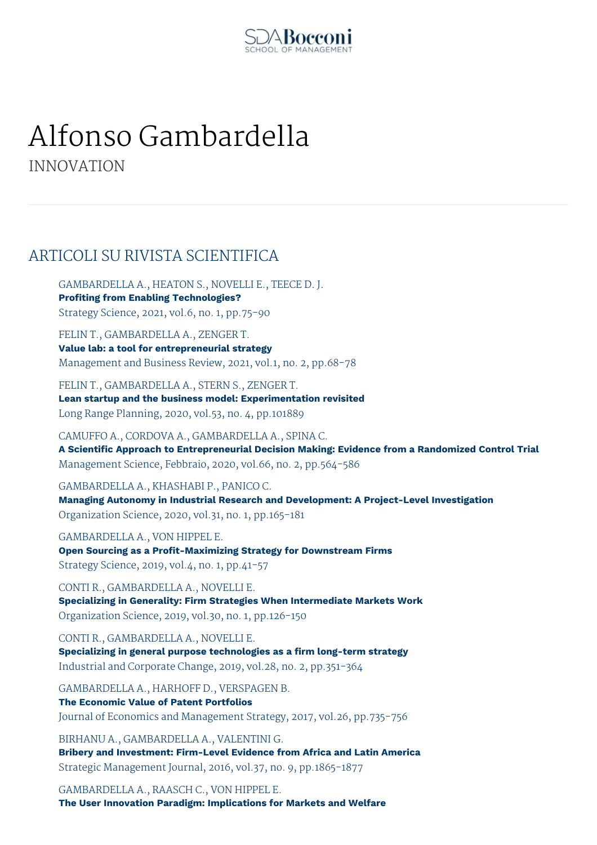

# Alfonso Gambardella

INNOVATION

# ARTICOLI SU RIVISTA SCIENTIFICA

GAMBARDELLA A., HEATON S., NOVELLI E., TEECE D. J. **Profiting from Enabling Technologies?** Strategy Science, 2021, vol.6, no. 1, pp.75-90

FELIN T., GAMBARDELLA A., ZENGER T. **Value lab: a tool for entrepreneurial strategy** Management and Business Review, 2021, vol.1, no. 2, pp.68-78

FELIN T., GAMBARDELLA A., STERN S., ZENGER T. **Lean startup and the business model: Experimentation revisited** Long Range Planning, 2020, vol.53, no. 4, pp.101889

CAMUFFO A., CORDOVA A., GAMBARDELLA A., SPINA C. **A Scientific Approach to Entrepreneurial Decision Making: Evidence from a Randomized Control Trial** Management Science, Febbraio, 2020, vol.66, no. 2, pp.564-586

GAMBARDELLA A., KHASHABI P., PANICO C. **Managing Autonomy in Industrial Research and Development: A Project-Level Investigation** Organization Science, 2020, vol.31, no. 1, pp.165-181

GAMBARDELLA A., VON HIPPEL E. **Open Sourcing as a Profit-Maximizing Strategy for Downstream Firms** Strategy Science, 2019, vol.4, no. 1, pp.41-57

CONTI R., GAMBARDELLA A., NOVELLI E. **Specializing in Generality: Firm Strategies When Intermediate Markets Work** Organization Science, 2019, vol.30, no. 1, pp.126-150

CONTI R., GAMBARDELLA A., NOVELLI E. **Specializing in general purpose technologies as a firm long-term strategy** Industrial and Corporate Change, 2019, vol.28, no. 2, pp.351-364

GAMBARDELLA A., HARHOFF D., VERSPAGEN B. **The Economic Value of Patent Portfolios** Journal of Economics and Management Strategy, 2017, vol.26, pp.735-756

BIRHANU A., GAMBARDELLA A., VALENTINI G. **Bribery and Investment: Firm-Level Evidence from Africa and Latin America** Strategic Management Journal, 2016, vol.37, no. 9, pp.1865-1877

GAMBARDELLA A., RAASCH C., VON HIPPEL E. **The User Innovation Paradigm: Implications for Markets and Welfare**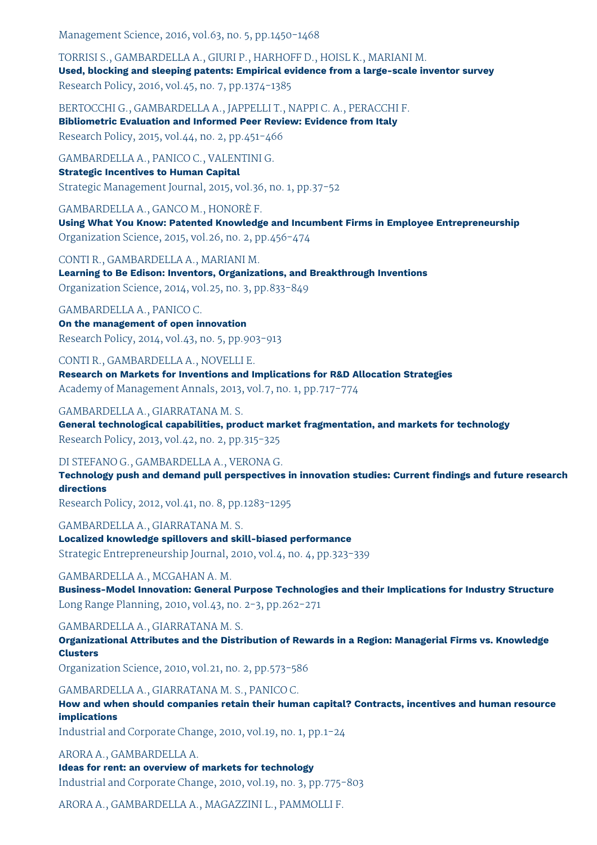Management Science, 2016, vol.63, no. 5, pp.1450-1468

TORRISI S., GAMBARDELLA A., GIURI P., HARHOFF D., HOISL K., MARIANI M. **Used, blocking and sleeping patents: Empirical evidence from a large-scale inventor survey** Research Policy, 2016, vol.45, no. 7, pp.1374-1385

BERTOCCHI G., GAMBARDELLA A., JAPPELLI T., NAPPI C. A., PERACCHI F. **Bibliometric Evaluation and Informed Peer Review: Evidence from Italy** Research Policy, 2015, vol.44, no. 2, pp.451-466

GAMBARDELLA A., PANICO C., VALENTINI G. **Strategic Incentives to Human Capital** Strategic Management Journal, 2015, vol.36, no. 1, pp.37-52

GAMBARDELLA A., GANCO M., HONORÈ F. **Using What You Know: Patented Knowledge and Incumbent Firms in Employee Entrepreneurship** Organization Science, 2015, vol.26, no. 2, pp.456-474

CONTI R., GAMBARDELLA A., MARIANI M. **Learning to Be Edison: Inventors, Organizations, and Breakthrough Inventions** Organization Science, 2014, vol.25, no. 3, pp.833-849

GAMBARDELLA A., PANICO C. **On the management of open innovation** Research Policy, 2014, vol.43, no. 5, pp.903-913

CONTI R., GAMBARDELLA A., NOVELLI E. **Research on Markets for Inventions and Implications for R&D Allocation Strategies** Academy of Management Annals, 2013, vol.7, no. 1, pp.717-774

GAMBARDELLA A., GIARRATANA M. S. **General technological capabilities, product market fragmentation, and markets for technology**

Research Policy, 2013, vol.42, no. 2, pp.315-325

DI STEFANO G., GAMBARDELLA A., VERONA G.

**Technology push and demand pull perspectives in innovation studies: Current findings and future research directions**

Research Policy, 2012, vol.41, no. 8, pp.1283-1295

GAMBARDELLA A., GIARRATANA M. S.

**Localized knowledge spillovers and skill-biased performance** Strategic Entrepreneurship Journal, 2010, vol.4, no. 4, pp.323-339

GAMBARDELLA A., MCGAHAN A. M.

**Business-Model Innovation: General Purpose Technologies and their Implications for Industry Structure** Long Range Planning, 2010, vol.43, no. 2-3, pp.262-271

GAMBARDELLA A., GIARRATANA M. S.

**Organizational Attributes and the Distribution of Rewards in a Region: Managerial Firms vs. Knowledge Clusters**

Organization Science, 2010, vol.21, no. 2, pp.573-586

GAMBARDELLA A., GIARRATANA M. S., PANICO C.

**How and when should companies retain their human capital? Contracts, incentives and human resource implications**

Industrial and Corporate Change, 2010, vol.19, no. 1, pp.1-24

ARORA A., GAMBARDELLA A.

**Ideas for rent: an overview of markets for technology** Industrial and Corporate Change, 2010, vol.19, no. 3, pp.775-803

ARORA A., GAMBARDELLA A., MAGAZZINI L., PAMMOLLI F.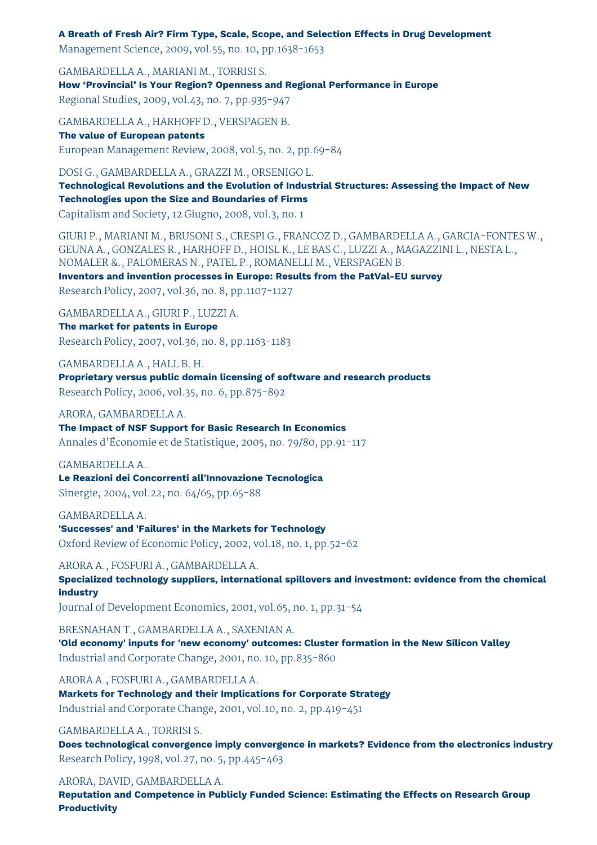#### **A Breath of Fresh Air? Firm Type, Scale, Scope, and Selection Effects in Drug Development**

Management Science, 2009, vol.55, no. 10, pp.1638-1653

GAMBARDELLA A., MARIANI M., TORRISI S. **How 'Provincial' Is Your Region? Openness and Regional Performance in Europe** Regional Studies, 2009, vol.43, no. 7, pp.935-947

GAMBARDELLA A., HARHOFF D., VERSPAGEN B. **The value of European patents** European Management Review, 2008, vol.5, no. 2, pp.69-84

DOSI G., GAMBARDELLA A., GRAZZI M., ORSENIGO L. **Technological Revolutions and the Evolution of Industrial Structures: Assessing the Impact of New Technologies upon the Size and Boundaries of Firms**

Capitalism and Society, 12 Giugno, 2008, vol.3, no. 1

GIURI P., MARIANI M., BRUSONI S., CRESPI G., FRANCOZ D., GAMBARDELLA A., GARCIA-FONTES W., GEUNA A., GONZALES R., HARHOFF D., HOISL K., LE BAS C., LUZZI A., MAGAZZINI L., NESTA L., NOMALER &., PALOMERAS N., PATEL P., ROMANELLI M., VERSPAGEN B. **Inventors and invention processes in Europe: Results from the PatVal-EU survey**

Research Policy, 2007, vol.36, no. 8, pp.1107-1127

GAMBARDELLA A., GIURI P., LUZZI A.

**The market for patents in Europe** Research Policy, 2007, vol.36, no. 8, pp.1163-1183

GAMBARDELLA A., HALL B. H. **Proprietary versus public domain licensing of software and research products** Research Policy, 2006, vol.35, no. 6, pp.875-892

ARORA, GAMBARDELLA A.

**The Impact of NSF Support for Basic Research In Economics** Annales d'Économie et de Statistique, 2005, no. 79/80, pp.91-117

GAMBARDELLA A.

**Le Reazioni dei Concorrenti all'Innovazione Tecnologica**

Sinergie, 2004, vol.22, no. 64/65, pp.65-88

GAMBARDELLA A. **'Successes' and 'Failures' in the Markets for Technology** Oxford Review of Economic Policy, 2002, vol.18, no. 1, pp.52-62

ARORA A., FOSFURI A., GAMBARDELLA A.

**Specialized technology suppliers, international spillovers and investment: evidence from the chemical industry**

Journal of Development Economics, 2001, vol.65, no. 1, pp.31-54

BRESNAHAN T., GAMBARDELLA A., SAXENIAN A.

**'Old economy' inputs for 'new economy' outcomes: Cluster formation in the New Silicon Valley** Industrial and Corporate Change, 2001, no. 10, pp.835-860

ARORA A., FOSFURI A., GAMBARDELLA A.

**Markets for Technology and their Implications for Corporate Strategy** Industrial and Corporate Change, 2001, vol.10, no. 2, pp.419-451

GAMBARDELLA A., TORRISI S.

**Does technological convergence imply convergence in markets? Evidence from the electronics industry** Research Policy, 1998, vol.27, no. 5, pp.445-463

ARORA, DAVID, GAMBARDELLA A.

**Reputation and Competence in Publicly Funded Science: Estimating the Effects on Research Group Productivity**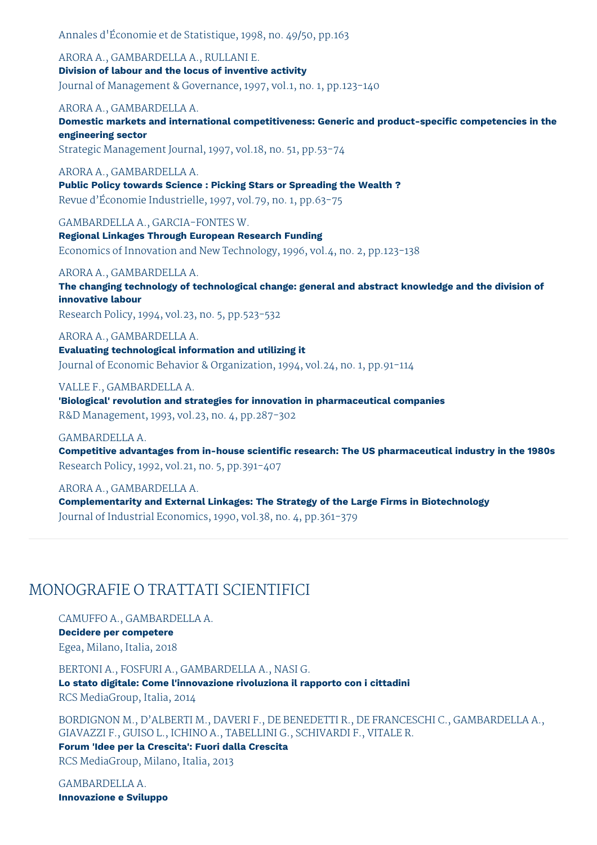Annales d'Économie et de Statistique, 1998, no. 49/50, pp.163

ARORA A., GAMBARDELLA A., RULLANI E. **Division of labour and the locus of inventive activity** Journal of Management & Governance, 1997, vol.1, no. 1, pp.123-140

ARORA A., GAMBARDELLA A.

**Domestic markets and international competitiveness: Generic and product-specific competencies in the engineering sector**

Strategic Management Journal, 1997, vol.18, no. 51, pp.53-74

ARORA A., GAMBARDELLA A.

**Public Policy towards Science : Picking Stars or Spreading the Wealth ?** Revue d'Économie Industrielle, 1997, vol.79, no. 1, pp.63-75

GAMBARDELLA A., GARCIA-FONTES W.

**Regional Linkages Through European Research Funding** Economics of Innovation and New Technology, 1996, vol.4, no. 2, pp.123-138

ARORA A., GAMBARDELLA A.

**The changing technology of technological change: general and abstract knowledge and the division of innovative labour**

Research Policy, 1994, vol.23, no. 5, pp.523-532

ARORA A., GAMBARDELLA A. **Evaluating technological information and utilizing it** Journal of Economic Behavior & Organization, 1994, vol.24, no. 1, pp.91-114

VALLE F., GAMBARDELLA A. **'Biological' revolution and strategies for innovation in pharmaceutical companies** R&D Management, 1993, vol.23, no. 4, pp.287-302

GAMBARDELLA A. **Competitive advantages from in-house scientific research: The US pharmaceutical industry in the 1980s** Research Policy, 1992, vol.21, no. 5, pp.391-407

ARORA A., GAMBARDELLA A. **Complementarity and External Linkages: The Strategy of the Large Firms in Biotechnology** Journal of Industrial Economics, 1990, vol.38, no. 4, pp.361-379

# MONOGRAFIE O TRATTATI SCIENTIFICI

CAMUFFO A., GAMBARDELLA A. **Decidere per competere** Egea, Milano, Italia, 2018

BERTONI A., FOSFURI A., GAMBARDELLA A., NASI G. **Lo stato digitale: Come l'innovazione rivoluziona il rapporto con i cittadini** RCS MediaGroup, Italia, 2014

BORDIGNON M., D'ALBERTI M., DAVERI F., DE BENEDETTI R., DE FRANCESCHI C., GAMBARDELLA A., GIAVAZZI F., GUISO L., ICHINO A., TABELLINI G., SCHIVARDI F., VITALE R.

**Forum 'Idee per la Crescita': Fuori dalla Crescita** RCS MediaGroup, Milano, Italia, 2013

GAMBARDELLA A. **Innovazione e Sviluppo**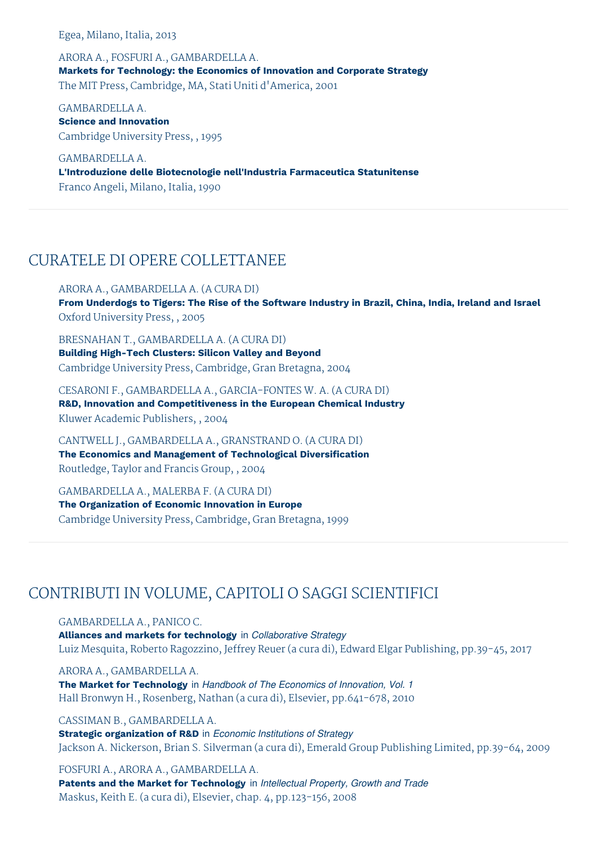Egea, Milano, Italia, 2013

ARORA A., FOSFURI A., GAMBARDELLA A. **Markets for Technology: the Economics of Innovation and Corporate Strategy** The MIT Press, Cambridge, MA, Stati Uniti d'America, 2001

GAMBARDELLA A. **Science and Innovation** Cambridge University Press, , 1995

GAMBARDELLA A. **L'Introduzione delle Biotecnologie nell'Industria Farmaceutica Statunitense** Franco Angeli, Milano, Italia, 1990

# CURATELE DI OPERE COLLETTANEE

ARORA A., GAMBARDELLA A. (A CURA DI) **From Underdogs to Tigers: The Rise of the Software Industry in Brazil, China, India, Ireland and Israel** Oxford University Press, , 2005

BRESNAHAN T., GAMBARDELLA A. (A CURA DI) **Building High-Tech Clusters: Silicon Valley and Beyond** Cambridge University Press, Cambridge, Gran Bretagna, 2004

CESARONI F., GAMBARDELLA A., GARCIA-FONTES W. A. (A CURA DI) **R&D, Innovation and Competitiveness in the European Chemical Industry** Kluwer Academic Publishers, , 2004

CANTWELL J., GAMBARDELLA A., GRANSTRAND O. (A CURA DI) **The Economics and Management of Technological Diversification** Routledge, Taylor and Francis Group, , 2004

GAMBARDELLA A., MALERBA F. (A CURA DI) **The Organization of Economic Innovation in Europe** Cambridge University Press, Cambridge, Gran Bretagna, 1999

# CONTRIBUTI IN VOLUME, CAPITOLI O SAGGI SCIENTIFICI

GAMBARDELLA A., PANICO C.

**Alliances and markets for technology** in *Collaborative Strategy* Luiz Mesquita, Roberto Ragozzino, Jeffrey Reuer (a cura di), Edward Elgar Publishing, pp.39-45, 2017

ARORA A., GAMBARDELLA A. **The Market for Technology** in *Handbook of The Economics of Innovation, Vol. 1* Hall Bronwyn H., Rosenberg, Nathan (a cura di), Elsevier, pp.641-678, 2010

CASSIMAN B., GAMBARDELLA A. **Strategic organization of R&D** in *Economic Institutions of Strategy* Jackson A. Nickerson, Brian S. Silverman (a cura di), Emerald Group Publishing Limited, pp.39-64, 2009

FOSFURI A., ARORA A., GAMBARDELLA A. **Patents and the Market for Technology** in *Intellectual Property, Growth and Trade* Maskus, Keith E. (a cura di), Elsevier, chap. 4, pp.123-156, 2008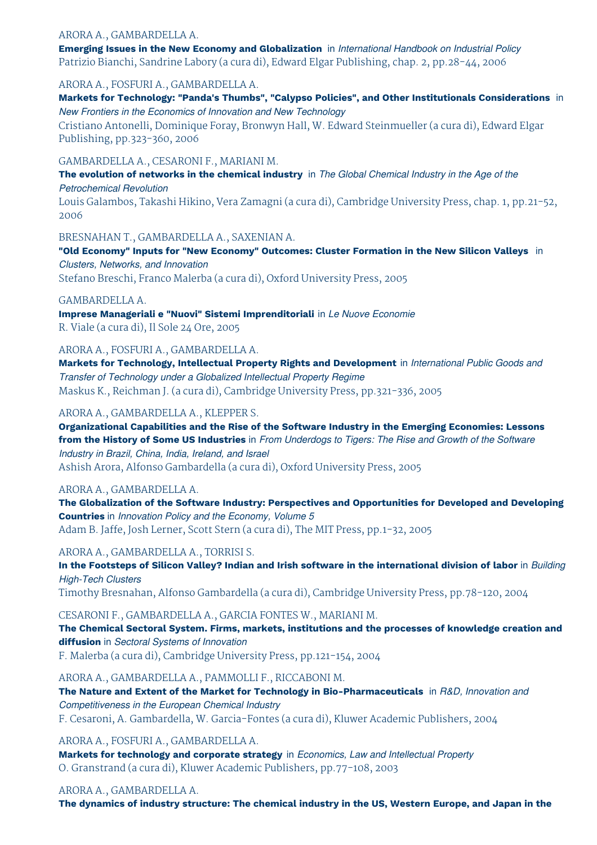#### ARORA A., GAMBARDELLA A.

**Emerging Issues in the New Economy and Globalization** in *International Handbook on Industrial Policy* Patrizio Bianchi, Sandrine Labory (a cura di), Edward Elgar Publishing, chap. 2, pp.28-44, 2006

#### ARORA A., FOSFURI A., GAMBARDELLA A.

**Markets for Technology: "Panda's Thumbs", "Calypso Policies", and Other Institutionals Considerations** in *New Frontiers in the Economics of Innovation and New Technology*

Cristiano Antonelli, Dominique Foray, Bronwyn Hall, W. Edward Steinmueller (a cura di), Edward Elgar Publishing, pp.323-360, 2006

#### GAMBARDELLA A., CESARONI F., MARIANI M.

**The evolution of networks in the chemical industry** in *The Global Chemical Industry in the Age of the Petrochemical Revolution*

Louis Galambos, Takashi Hikino, Vera Zamagni (a cura di), Cambridge University Press, chap. 1, pp.21-52, 2006

BRESNAHAN T., GAMBARDELLA A., SAXENIAN A.

**"Old Economy" Inputs for "New Economy" Outcomes: Cluster Formation in the New Silicon Valleys** in *Clusters, Networks, and Innovation*

Stefano Breschi, Franco Malerba (a cura di), Oxford University Press, 2005

GAMBARDELLA A.

**Imprese Manageriali e "Nuovi" Sistemi Imprenditoriali** in *Le Nuove Economie* R. Viale (a cura di), Il Sole 24 Ore, 2005

ARORA A., FOSFURI A., GAMBARDELLA A.

**Markets for Technology, Intellectual Property Rights and Development** in *International Public Goods and Transfer of Technology under a Globalized Intellectual Property Regime* Maskus K., Reichman J. (a cura di), Cambridge University Press, pp.321-336, 2005

#### ARORA A., GAMBARDELLA A., KLEPPER S.

**Organizational Capabilities and the Rise of the Software Industry in the Emerging Economies: Lessons** from the History of Some US Industries in From Underdogs to Tigers: The Rise and Growth of the Software *Industry in Brazil, China, India, Ireland, and Israel* Ashish Arora, Alfonso Gambardella (a cura di), Oxford University Press, 2005

ARORA A., GAMBARDELLA A.

**The Globalization of the Software Industry: Perspectives and Opportunities for Developed and Developing Countries** in *Innovation Policy and the Economy, Volume 5* Adam B. Jaffe, Josh Lerner, Scott Stern (a cura di), The MIT Press, pp.1-32, 2005

#### ARORA A., GAMBARDELLA A., TORRISI S.

In the Footsteps of Silicon Valley? Indian and Irish software in the international division of labor in Building *High-Tech Clusters*

Timothy Bresnahan, Alfonso Gambardella (a cura di), Cambridge University Press, pp.78-120, 2004

#### CESARONI F., GAMBARDELLA A., GARCIA FONTES W., MARIANI M.

**The Chemical Sectoral System. Firms, markets, institutions and the processes of knowledge creation and diffusion** in *Sectoral Systems of Innovation* F. Malerba (a cura di), Cambridge University Press, pp.121-154, 2004

ARORA A., GAMBARDELLA A., PAMMOLLI F., RICCABONI M.

**The Nature and Extent of the Market for Technology in Bio-Pharmaceuticals** in *R&D, Innovation and Competitiveness in the European Chemical Industry* F. Cesaroni, A. Gambardella, W. Garcia-Fontes (a cura di), Kluwer Academic Publishers, 2004

ARORA A., FOSFURI A., GAMBARDELLA A.

**Markets for technology and corporate strategy** in *Economics, Law and Intellectual Property* O. Granstrand (a cura di), Kluwer Academic Publishers, pp.77-108, 2003

#### ARORA A., GAMBARDELLA A.

**The dynamics of industry structure: The chemical industry in the US, Western Europe, and Japan in the**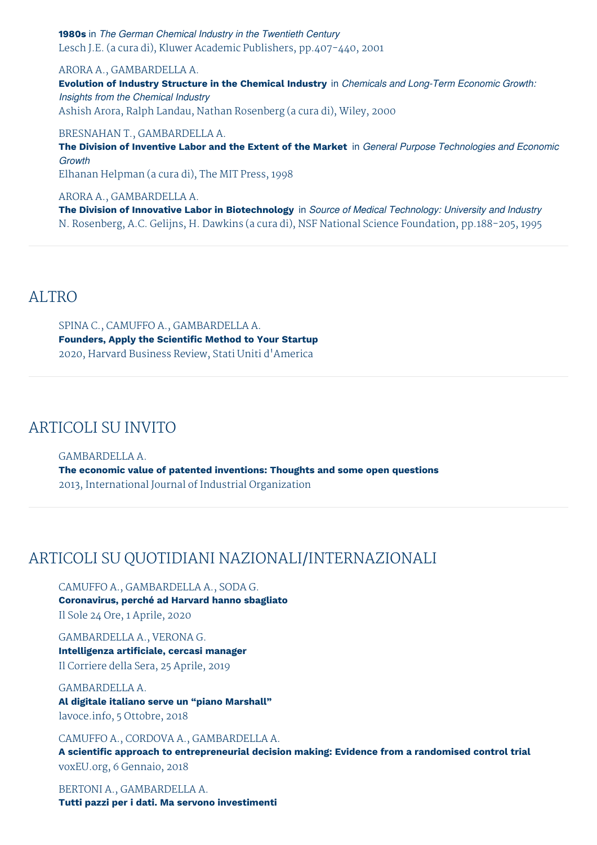**1980s** in *The German Chemical Industry in the Twentieth Century* Lesch J.E. (a cura di), Kluwer Academic Publishers, pp.407-440, 2001

ARORA A., GAMBARDELLA A.

**Evolution of Industry Structure in the Chemical Industry** in *Chemicals and Long-Term Economic Growth: Insights from the Chemical Industry* Ashish Arora, Ralph Landau, Nathan Rosenberg (a cura di), Wiley, 2000

BRESNAHAN T., GAMBARDELLA A.

**The Division of Inventive Labor and the Extent of the Market** in *General Purpose Technologies and Economic Growth* Elhanan Helpman (a cura di), The MIT Press, 1998

ARORA A., GAMBARDELLA A.

**The Division of Innovative Labor in Biotechnology** in *Source of Medical Technology: University and Industry* N. Rosenberg, A.C. Gelijns, H. Dawkins (a cura di), NSF National Science Foundation, pp.188-205, 1995

### ALTRO

SPINA C., CAMUFFO A., GAMBARDELLA A. **Founders, Apply the Scientific Method to Your Startup** 2020, Harvard Business Review, Stati Uniti d'America

## ARTICOLI SU INVITO

GAMBARDELLA A. **The economic value of patented inventions: Thoughts and some open questions** 2013, International Journal of Industrial Organization

# ARTICOLI SU QUOTIDIANI NAZIONALI/INTERNAZIONALI

CAMUFFO A., GAMBARDELLA A., SODA G. **Coronavirus, perché ad Harvard hanno sbagliato** Il Sole 24 Ore, 1 Aprile, 2020

GAMBARDELLA A., VERONA G. **Intelligenza artificiale, cercasi manager** Il Corriere della Sera, 25 Aprile, 2019

GAMBARDELLA A. **Al digitale italiano serve un "piano Marshall"** lavoce.info, 5 Ottobre, 2018

CAMUFFO A., CORDOVA A., GAMBARDELLA A.

**A scientific approach to entrepreneurial decision making: Evidence from a randomised control trial** voxEU.org, 6 Gennaio, 2018

BERTONI A., GAMBARDELLA A. **Tutti pazzi per i dati. Ma servono investimenti**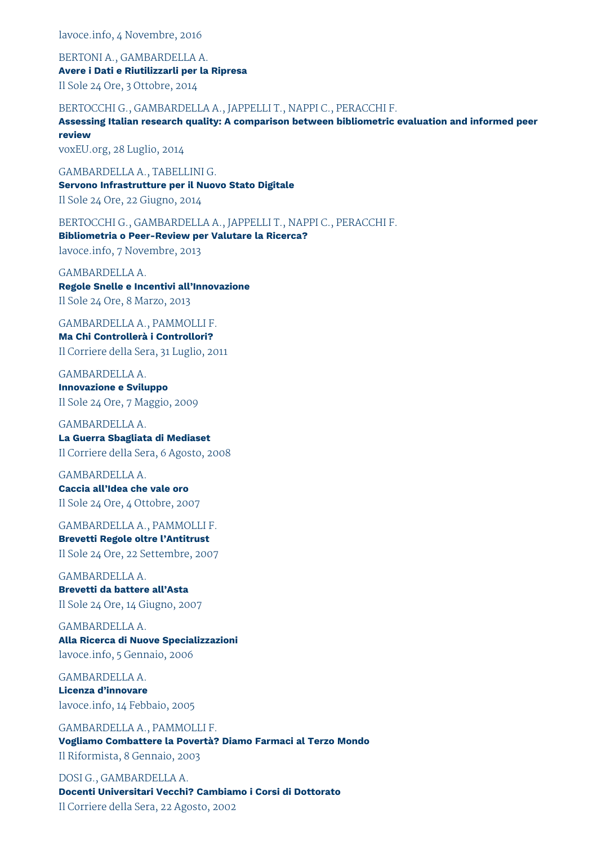lavoce.info, 4 Novembre, 2016

BERTONI A., GAMBARDELLA A. **Avere i Dati e Riutilizzarli per la Ripresa** Il Sole 24 Ore, 3 Ottobre, 2014

BERTOCCHI G., GAMBARDELLA A., JAPPELLI T., NAPPI C., PERACCHI F.

**Assessing Italian research quality: A comparison between bibliometric evaluation and informed peer review**

voxEU.org, 28 Luglio, 2014

GAMBARDELLA A., TABELLINI G. **Servono Infrastrutture per il Nuovo Stato Digitale** Il Sole 24 Ore, 22 Giugno, 2014

BERTOCCHI G., GAMBARDELLA A., JAPPELLI T., NAPPI C., PERACCHI F. **Bibliometria o Peer-Review per Valutare la Ricerca?** lavoce.info, 7 Novembre, 2013

GAMBARDELLA A. **Regole Snelle e Incentivi all'Innovazione** Il Sole 24 Ore, 8 Marzo, 2013

GAMBARDELLA A., PAMMOLLI F. **Ma Chi Controllerà i Controllori?** Il Corriere della Sera, 31 Luglio, 2011

GAMBARDELLA A. **Innovazione e Sviluppo** Il Sole 24 Ore, 7 Maggio, 2009

GAMBARDELLA A. **La Guerra Sbagliata di Mediaset** Il Corriere della Sera, 6 Agosto, 2008

GAMBARDELLA A. **Caccia all'Idea che vale oro** Il Sole 24 Ore, 4 Ottobre, 2007

GAMBARDELLA A., PAMMOLLI F. **Brevetti Regole oltre l'Antitrust** Il Sole 24 Ore, 22 Settembre, 2007

GAMBARDELLA A. **Brevetti da battere all'Asta** Il Sole 24 Ore, 14 Giugno, 2007

GAMBARDELLA A. **Alla Ricerca di Nuove Specializzazioni** lavoce.info, 5 Gennaio, 2006

GAMBARDELLA A. **Licenza d'innovare** lavoce.info, 14 Febbaio, 2005

GAMBARDELLA A., PAMMOLLI F. **Vogliamo Combattere la Povertà? Diamo Farmaci al Terzo Mondo** Il Riformista, 8 Gennaio, 2003

DOSI G., GAMBARDELLA A. **Docenti Universitari Vecchi? Cambiamo i Corsi di Dottorato** Il Corriere della Sera, 22 Agosto, 2002